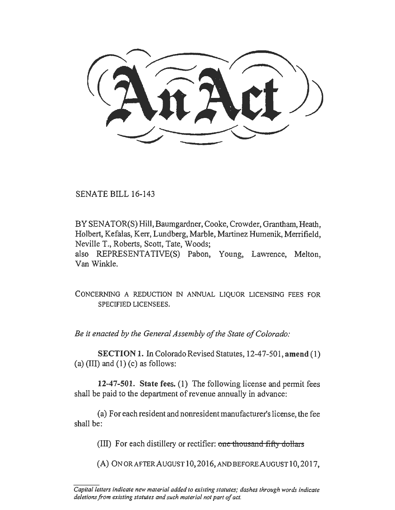SENATE BILL 16-143

BY SENATOR(S) Hill, Baumgardner, Cooke, Crowder, Grantham, Heath, Holbert, Kefalas, Kerr, Lundberg, Marble, Martinez Humenik, Merrifield, Neville T., Roberts, Scott, Tate, Woods; also REPRESENTATIVE(S) Pabon, Young, Lawrence, Melton, Van Winkle.

CONCERNING A REDUCTION IN ANNUAL LIQUOR LICENSING FEES FOR SPECIFIED LICENSEES.

*Be it enacted by the General Assembly of the State of Colorado:* 

SECTION 1. In Colorado Revised Statutes, 12-47-501, amend (1) (a)  $(III)$  and  $(1)$  (c) as follows:

12-47-501. State fees. (1) The following license and permit fees shall be paid to the department of revenue annually in advance:

(a) For each resident and nonresident manufacturer's license, the fee shall be:

(III) For each distillery or rectifier: one thousand fifty dollars

(A) ONORAFTERAUGUST 10,2016,ANDBEFOREAUGUST 10,2017,

*Capital letters indicate new material added to existing statutes; dashes through words indicate deletions from existing statutes and such material not part of act.*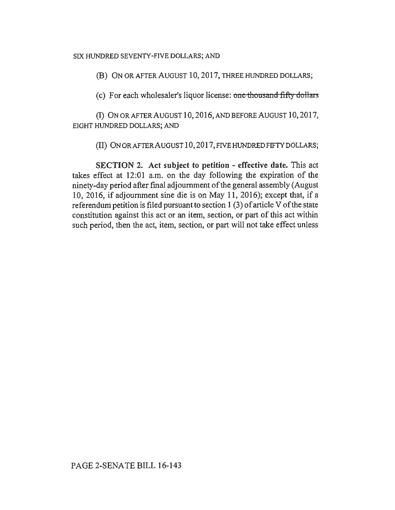## SIX HUNDRED SEVENTY-FIVE DOLLARS; AND

(B) ON OR AFTER AUGUST 10, 2017, THREE HUNDRED DOLLARS;

(c) For each wholesaler's liquor license: one thousand fifty dollars

(I) ON OR AFTER AUGUST 10, 2016, AND BEFORE AUGUST 10, 2017, EIGHT HUNDRED DOLLARS; AND

(II) 0NORAFTERAUGUST 10,2017,FIVEHUNDREDFIFTYDOLLARS;

SECTION 2. Act subject to petition - effective date. This act takes effect at 12:01 a.m. on the day following the expiration of the ninety-day period after final adjournment of the general assembly (August 10, 2016, if adjournment sine die is on May 11, 2016); except that, if a referendum petition is filed pursuant to section 1 (3) of article V of the state constitution against this act or an item, section, or part of this act within such period, then the act, item, section, or part will not take effect unless